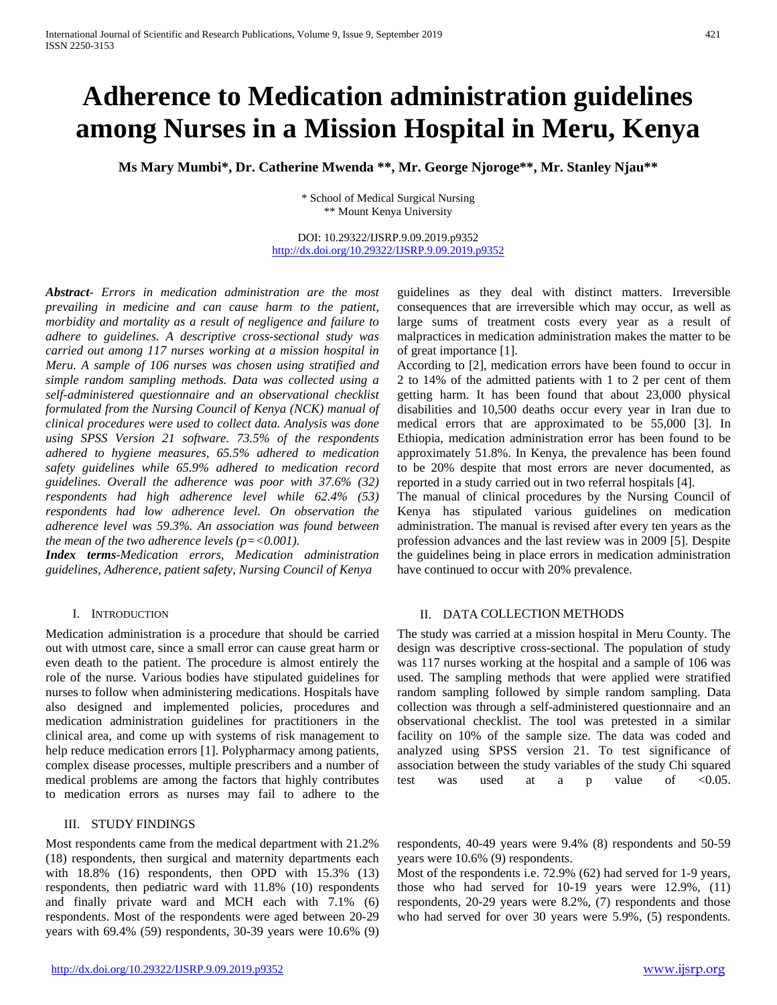# **Adherence to Medication administration guidelines among Nurses in a Mission Hospital in Meru, Kenya**

**Ms Mary Mumbi\*, Dr. Catherine Mwenda \*\*, Mr. George Njoroge\*\*, Mr. Stanley Njau\*\***

\* School of Medical Surgical Nursing \*\* Mount Kenya University

DOI: 10.29322/IJSRP.9.09.2019.p9352 <http://dx.doi.org/10.29322/IJSRP.9.09.2019.p9352>

*Abstract- Errors in medication administration are the most prevailing in medicine and can cause harm to the patient, morbidity and mortality as a result of negligence and failure to adhere to guidelines. A descriptive cross-sectional study was carried out among 117 nurses working at a mission hospital in Meru. A sample of 106 nurses was chosen using stratified and simple random sampling methods. Data was collected using a self-administered questionnaire and an observational checklist formulated from the Nursing Council of Kenya (NCK) manual of clinical procedures were used to collect data. Analysis was done using SPSS Version 21 software. 73.5% of the respondents adhered to hygiene measures, 65.5% adhered to medication safety guidelines while 65.9% adhered to medication record guidelines. Overall the adherence was poor with 37.6% (32) respondents had high adherence level while 62.4% (53) respondents had low adherence level. On observation the adherence level was 59.3%. An association was found between the mean of the two adherence levels (p=<0.001).*

*Index terms-Medication errors, Medication administration guidelines, Adherence, patient safety, Nursing Council of Kenya*

#### I. INTRODUCTION

Medication administration is a procedure that should be carried out with utmost care, since a small error can cause great harm or even death to the patient. The procedure is almost entirely the role of the nurse. Various bodies have stipulated guidelines for nurses to follow when administering medications. Hospitals have also designed and implemented policies, procedures and medication administration guidelines for practitioners in the clinical area, and come up with systems of risk management to help reduce medication errors [1]. Polypharmacy among patients, complex disease processes, multiple prescribers and a number of medical problems are among the factors that highly contributes to medication errors as nurses may fail to adhere to the

### III. STUDY FINDINGS

Most respondents came from the medical department with 21.2% (18) respondents, then surgical and maternity departments each with 18.8% (16) respondents, then OPD with 15.3% (13) respondents, then pediatric ward with 11.8% (10) respondents and finally private ward and MCH each with 7.1% (6) respondents. Most of the respondents were aged between 20-29 years with 69.4% (59) respondents, 30-39 years were 10.6% (9)

guidelines as they deal with distinct matters. Irreversible consequences that are irreversible which may occur, as well as large sums of treatment costs every year as a result of malpractices in medication administration makes the matter to be of great importance [1].

According to [2], medication errors have been found to occur in 2 to 14% of the admitted patients with 1 to 2 per cent of them getting harm. It has been found that about 23,000 physical disabilities and 10,500 deaths occur every year in Iran due to medical errors that are approximated to be 55,000 [3]. In Ethiopia, medication administration error has been found to be approximately 51.8%. In Kenya, the prevalence has been found to be 20% despite that most errors are never documented, as reported in a study carried out in two referral hospitals [4].

The manual of clinical procedures by the Nursing Council of Kenya has stipulated various guidelines on medication administration. The manual is revised after every ten years as the profession advances and the last review was in 2009 [5]. Despite the guidelines being in place errors in medication administration have continued to occur with 20% prevalence.

## II. DATA COLLECTION METHODS

The study was carried at a mission hospital in Meru County. The design was descriptive cross-sectional. The population of study was 117 nurses working at the hospital and a sample of 106 was used. The sampling methods that were applied were stratified random sampling followed by simple random sampling. Data collection was through a self-administered questionnaire and an observational checklist. The tool was pretested in a similar facility on 10% of the sample size. The data was coded and analyzed using SPSS version 21. To test significance of association between the study variables of the study Chi squared test was used at a p value of <0.05.

respondents, 40-49 years were 9.4% (8) respondents and 50-59 years were 10.6% (9) respondents.

Most of the respondents i.e. 72.9% (62) had served for 1-9 years, those who had served for 10-19 years were 12.9%, (11) respondents, 20-29 years were 8.2%, (7) respondents and those who had served for over 30 years were 5.9%, (5) respondents.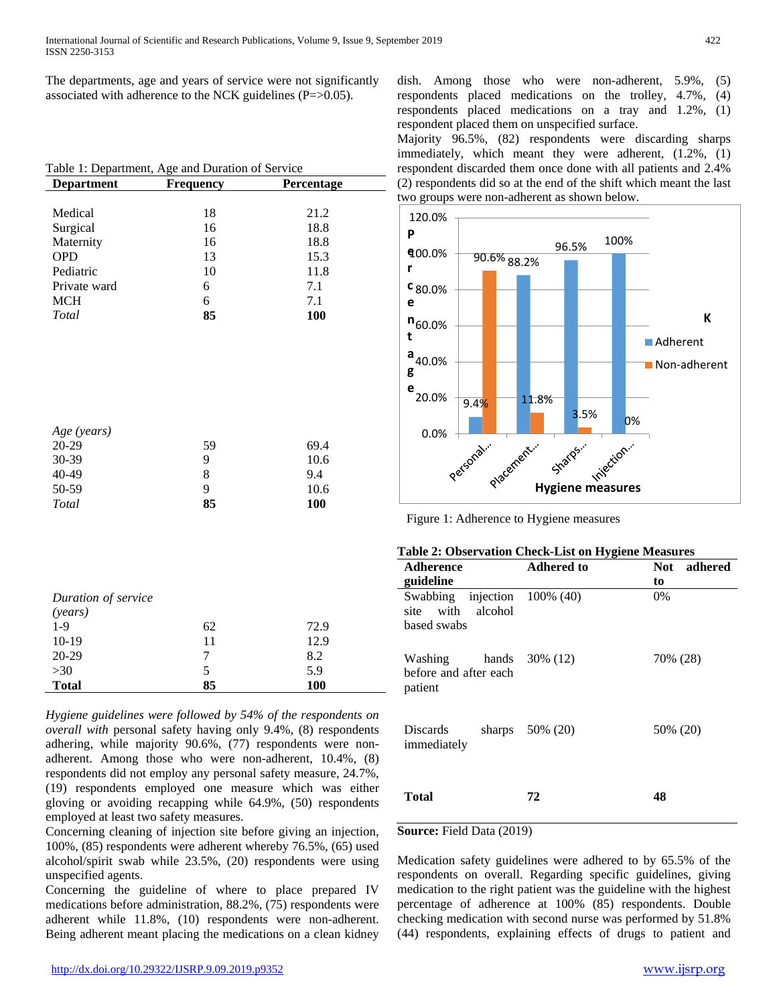The departments, age and years of service were not significantly associated with adherence to the NCK guidelines (P=>0.05).

| <b>Department</b> | Frequency | Percentage |
|-------------------|-----------|------------|
|                   |           |            |
| Medical           | 18        | 21.2       |
| Surgical          | 16        | 18.8       |
| Maternity         | 16        | 18.8       |
| <b>OPD</b>        | 13        | 15.3       |
| Pediatric         | 10        | 11.8       |
| Private ward      | 6         | 7.1        |
| <b>MCH</b>        | 6         | 7.1        |
| Total             | 85        | 100        |
|                   |           |            |
| Age (years)       |           |            |
| 20-29             | 59        | 69.4       |
| 30-39             | 9         | 10.6       |
| 40-49             | 8         | 9.4        |
| 50-59             | 9         | 10.6       |
| Total             | 85        | 100        |

| Duration of service |    |            |  |
|---------------------|----|------------|--|
| (years)             |    |            |  |
| $1-9$               | 62 | 72.9       |  |
| $10-19$             | 11 | 12.9       |  |
| $20-29$             | 7  | 8.2        |  |
| >30                 | 5  | 5.9        |  |
| <b>Total</b>        | 85 | <b>100</b> |  |

*Hygiene guidelines were followed by 54% of the respondents on overall with* personal safety having only 9.4%, (8) respondents adhering, while majority 90.6%, (77) respondents were nonadherent. Among those who were non-adherent, 10.4%, (8) respondents did not employ any personal safety measure, 24.7%, (19) respondents employed one measure which was either gloving or avoiding recapping while 64.9%, (50) respondents employed at least two safety measures.

Concerning cleaning of injection site before giving an injection, 100%, (85) respondents were adherent whereby 76.5%, (65) used alcohol/spirit swab while 23.5%, (20) respondents were using unspecified agents.

Concerning the guideline of where to place prepared IV medications before administration, 88.2%, (75) respondents were adherent while 11.8%, (10) respondents were non-adherent. Being adherent meant placing the medications on a clean kidney

dish. Among those who were non-adherent, 5.9%, (5) respondents placed medications on the trolley, 4.7%, (4) respondents placed medications on a tray and 1.2%, (1) respondent placed them on unspecified surface.

Majority 96.5%, (82) respondents were discarding sharps immediately, which meant they were adherent, (1.2%, (1) respondent discarded them once done with all patients and 2.4% (2) respondents did so at the end of the shift which meant the last two groups were non-adherent as shown below.



Figure 1: Adherence to Hygiene measures

|  |  | Table 2: Observation Check-List on Hygiene Measures |
|--|--|-----------------------------------------------------|
|--|--|-----------------------------------------------------|

| Adherence<br>guideline                                           | <b>Adhered to</b>  | adhered<br>Not<br>to |
|------------------------------------------------------------------|--------------------|----------------------|
| Swabbing injection 100% (40)<br>site with alcohol<br>based swabs |                    | $0\%$                |
| Washing hands $30\%$ (12)<br>before and after each<br>patient    |                    | 70% (28)             |
| Discards<br>immediately                                          | sharps $50\%$ (20) | 50% (20)             |
| <b>Total</b>                                                     | 72                 | 48                   |

## **Source:** Field Data (2019)

Medication safety guidelines were adhered to by 65.5% of the respondents on overall. Regarding specific guidelines, giving medication to the right patient was the guideline with the highest percentage of adherence at 100% (85) respondents. Double checking medication with second nurse was performed by 51.8% (44) respondents, explaining effects of drugs to patient and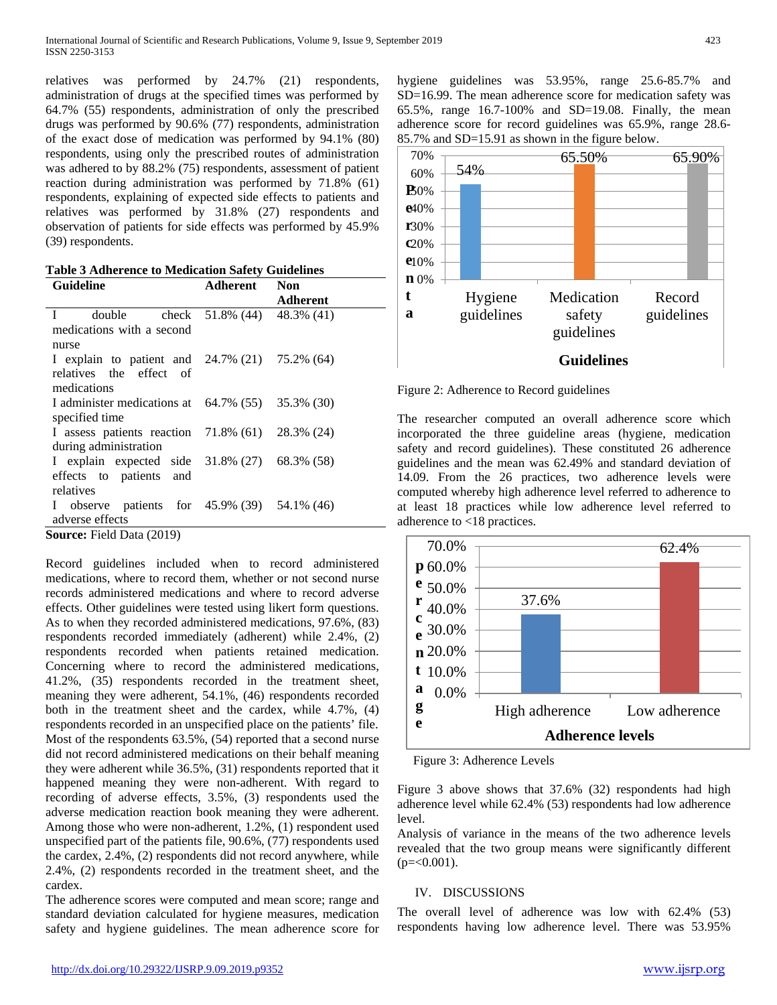relatives was performed by 24.7% (21) respondents, administration of drugs at the specified times was performed by 64.7% (55) respondents, administration of only the prescribed drugs was performed by 90.6% (77) respondents, administration of the exact dose of medication was performed by 94.1% (80) respondents, using only the prescribed routes of administration was adhered to by 88.2% (75) respondents, assessment of patient reaction during administration was performed by 71.8% (61) respondents, explaining of expected side effects to patients and relatives was performed by 31.8% (27) respondents and observation of patients for side effects was performed by 45.9% (39) respondents.

**Table 3 Adherence to Medication Safety Guidelines**

| <b>Guideline</b>                                            | <b>Adherent</b>                   | <b>Non</b> |  |
|-------------------------------------------------------------|-----------------------------------|------------|--|
|                                                             |                                   | Adherent   |  |
| $\mathbf{I}$<br>double                                      | check $51.8\%$ (44) $48.3\%$ (41) |            |  |
| medications with a second                                   |                                   |            |  |
| nurse                                                       |                                   |            |  |
| I explain to patient and $24.7\%$ (21) $75.2\%$ (64)        |                                   |            |  |
| relatives the effect of                                     |                                   |            |  |
| medications                                                 |                                   |            |  |
| I administer medications at $64.7\%$ $(55)$ $35.3\%$ $(30)$ |                                   |            |  |
| specified time                                              |                                   |            |  |
| I assess patients reaction $71.8\%$ (61) $28.3\%$ (24)      |                                   |            |  |
| during administration                                       |                                   |            |  |
| I explain expected side 31.8% (27) 68.3% (58)               |                                   |            |  |
| effects to patients and                                     |                                   |            |  |
| relatives                                                   |                                   |            |  |
| I observe patients for $45.9\%$ (39) $54.1\%$ (46)          |                                   |            |  |
| adverse effects                                             |                                   |            |  |
| <b>Source:</b> Field Data (2019)                            |                                   |            |  |

Record guidelines included when to record administered medications, where to record them, whether or not second nurse records administered medications and where to record adverse effects. Other guidelines were tested using likert form questions. As to when they recorded administered medications, 97.6%, (83) respondents recorded immediately (adherent) while 2.4%, (2) respondents recorded when patients retained medication. Concerning where to record the administered medications, 41.2%, (35) respondents recorded in the treatment sheet, meaning they were adherent, 54.1%, (46) respondents recorded both in the treatment sheet and the cardex, while 4.7%, (4) respondents recorded in an unspecified place on the patients' file. Most of the respondents 63.5%, (54) reported that a second nurse did not record administered medications on their behalf meaning they were adherent while 36.5%, (31) respondents reported that it happened meaning they were non-adherent. With regard to recording of adverse effects, 3.5%, (3) respondents used the adverse medication reaction book meaning they were adherent. Among those who were non-adherent, 1.2%, (1) respondent used unspecified part of the patients file, 90.6%, (77) respondents used the cardex, 2.4%, (2) respondents did not record anywhere, while 2.4%, (2) respondents recorded in the treatment sheet, and the cardex.

The adherence scores were computed and mean score; range and standard deviation calculated for hygiene measures, medication safety and hygiene guidelines. The mean adherence score for

hygiene guidelines was 53.95%, range 25.6-85.7% and SD=16.99. The mean adherence score for medication safety was 65.5%, range 16.7-100% and SD=19.08. Finally, the mean adherence score for record guidelines was 65.9%, range 28.6- 85.7% and SD=15.91 as shown in the figure below.



Figure 2: Adherence to Record guidelines

The researcher computed an overall adherence score which incorporated the three guideline areas (hygiene, medication safety and record guidelines). These constituted 26 adherence guidelines and the mean was 62.49% and standard deviation of 14.09. From the 26 practices, two adherence levels were computed whereby high adherence level referred to adherence to at least 18 practices while low adherence level referred to adherence to <18 practices.



Figure 3: Adherence Levels

Figure 3 above shows that 37.6% (32) respondents had high adherence level while 62.4% (53) respondents had low adherence level.

Analysis of variance in the means of the two adherence levels revealed that the two group means were significantly different  $(p=<0.001)$ .

# IV. DISCUSSIONS

The overall level of adherence was low with 62.4% (53) respondents having low adherence level. There was 53.95%